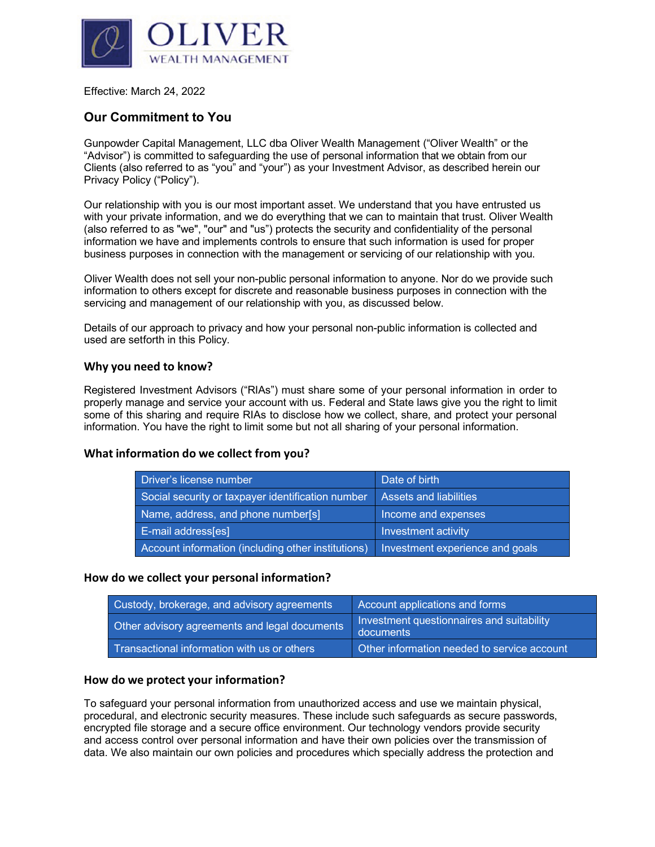

Effective: March 24, 2022

# **Our Commitment to You**

Gunpowder Capital Management, LLC dba Oliver Wealth Management ("Oliver Wealth" or the "Advisor") is committed to safeguarding the use of personal information that we obtain from our Clients (also referred to as "you" and "your") as your Investment Advisor, as described herein our Privacy Policy ("Policy").

Our relationship with you is our most important asset. We understand that you have entrusted us with your private information, and we do everything that we can to maintain that trust. Oliver Wealth (also referred to as "we", "our" and "us") protects the security and confidentiality of the personal information we have and implements controls to ensure that such information is used for proper business purposes in connection with the management or servicing of our relationship with you.

Oliver Wealth does not sell your non-public personal information to anyone. Nor do we provide such information to others except for discrete and reasonable business purposes in connection with the servicing and management of our relationship with you, as discussed below.

Details of our approach to privacy and how your personal non-public information is collected and used are setforth in this Policy.

### **Why you need to know?**

Registered Investment Advisors ("RIAs") must share some of your personal information in order to properly manage and service your account with us. Federal and State laws give you the right to limit some of this sharing and require RIAs to disclose how we collect, share, and protect your personal information. You have the right to limit some but not all sharing of your personal information.

## **What information do we collect from you?**

| Driver's license number                            | Date of birth                   |  |
|----------------------------------------------------|---------------------------------|--|
| Social security or taxpayer identification number  | Assets and liabilities          |  |
| Name, address, and phone number[s]                 | Income and expenses             |  |
| E-mail address[es]                                 | Investment activity             |  |
| Account information (including other institutions) | Investment experience and goals |  |

#### **How do we collect your personal information?**

| Custody, brokerage, and advisory agreements   | Account applications and forms                         |
|-----------------------------------------------|--------------------------------------------------------|
| Other advisory agreements and legal documents | Investment questionnaires and suitability<br>documents |
| Transactional information with us or others   | Other information needed to service account            |

#### **How do we protect your information?**

To safeguard your personal information from unauthorized access and use we maintain physical, procedural, and electronic security measures. These include such safeguards as secure passwords, encrypted file storage and a secure office environment. Our technology vendors provide security and access control over personal information and have their own policies over the transmission of data. We also maintain our own policies and procedures which specially address the protection and